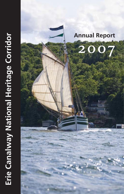

# **Annual Report**

2007

 $\mathbf{III}$  .

तामा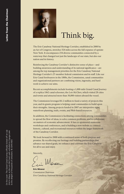

# Think big.

The Erie Canalway National Heritage Corridor, established in 2000 by an Act of Congress, stretches 524 miles across the full expanse of upstate New York. It encompasses 234 diverse communities connected by a waterway that changed not just the landscape of our state, but also our nation and its history.

Reinforcing the Canalway Corridor's distinctive sense of place—and building awareness and understanding of its national significance—are among the top management priorities for the Erie Canalway National Heritage Corridor's 27-member federal commission and its staff. Like our Erie Canal forebearers in the 1800s, the Commission, canal communities and organizational partners are combining vision, ingenuity, and hard work to achieve our aims.

Recent accomplishments include hosting a 1,000-mile Grand Canal Journey of a replica 1862 canal schooner, the *Lois McClure*, which visited 28 cities and towns and attracted more than 30,000 visitors aboard the vessel.

The Commission leveraged \$1.2 million to fund a variety of projects this year, and its grants program is helping canal communities to build upon their strengths. Among projects funded in 2007 are interpretive signs, waterfront planning, trails, events, and Web-based resources.

In addition, the Commission is facilitating connections among communities to spread the flow of ideas, to solve common problems, and to collaborate on matters of economic advancement. It has co-sponsored numerous workshops and conferences, and is building a new website to connect historic, cultural, and recreational resources within the larger framework of the Canalway Corridor.

We look forward to 2008 with a continued sense of both purpose and promise. By recollecting our heritage and building partnerships that advance our shared goals, we enhance and celebrate the Erie Canalway for all to use and enjoy.

Sincerely,

Morner

**Eric Mower** *Commission Chairman Erie Canalway National Heritage Corridor*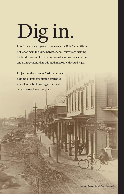# Dig in.

It took nearly eight years to construct the Erie Canal. We're not laboring in the same hard trenches, but we are tackling the bold vision set forth in our award winning Preservation and Management Plan, adopted in 2006, with equal vigor.

Projects undertaken in 2007 focus on a number of implementation strategies, as well as on building organizational capacity to achieve our goals.

GEO.ZETT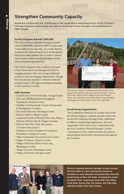## **Strengthen Community Capacity**

Numerous communities are contributing to the preservation and enhancement of the Corridor's heritage resources and economy. Our job is to build upon those strengths. Accomplishments in 2007 include:

#### **Grants Program Awards \$200,000**

The Erie Canalway National Heritage Corridor awarded \$200,000 in grants in 2007 to assist canal communities across the state. As a result, thirteen recipients are undertaking projects and programs that protect and celebrate the Corridor's distinct sense of place, while boosting heritage tourism and recreational opportunities.

The Grants Program seeks to advance the goals of our Preservation and Management Plan by engaging partners who can leverage additional resources and encouraging collaboration. Though the total amount awarded is relatively small, the program helps to fill a gap in small grant funding in the Canalway Corridor.

#### **2007 Grantees**

- Canal Society of New York State, Cayuga County
- The Corn Hill Waterfront & Navigation Foundation, Monroe County
- Chamber of Schenectady County, Schenectady & Montgomery Counties
- Erie Canal Museum, Onondaga County
- Historic Palmyra, Wayne County
- Landmark Society of Western New York, Wayne, Monroe, Orleans, Erie & Niagara Counties
- Parks & Trails New York, All counties (Corridor-wide project)
- Tompkins County Chamber of Commerce Foundation, Tompkins County
- Valley Community Association, Erie County
- Village of Fairport, Monroe County
- Village of Fort Ann/Town of Fort Ann, Washington County
- Village of Jordan, Onondaga County
- Village of Phoenix, Oswego County



*The Grants Program is helping canal communities fund projects that protect and showcase the Corridor. Pictured (from left): Mayor of the Village of Fort Ann Richard Foran, Erie Canalway Community Planner Hannah Blake, and Supervisor of the Town of Fort Ann Gayle Hall.*

#### **Fundraising Organization**

WESTERN ERIE CANAL\STATE HERITAGE/CORRIDOR

The Commission obtained tax exempt status from the IRS and began to establish a board of directors for the Erie Canalway Heritage Fund, established in 2006 as a fundraising organization. The new organization will work in close cooperation with the Erie Canalway National Heritage Corridor Commission to raise additional funds for projects and programs that benefit communities throughout the Corridor.



**The Erie Canalway National Heritage Corridor received the Peter Wiles Sr. Canal Achievement Award for excellence in canal education and preservation from the Canal Society of New York State. Accepting the award on behalf of the Commission (from left): Peter Wiles, Frank Dean, Duncan Hay, Tom Grasso, and Vicky Daly, with Dave Wahl of the Canal Society.**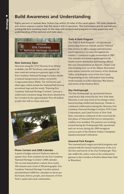# **Build Awareness and Understanding**

Eighty percent of upstate New Yorkers live within 25 miles of the canal system. Yet some residents and visitors express surprise that the canal is still in operation. The Commission and its partners are putting the Erie Canalway back on the map with projects and programs to raise awareness and understanding of this national and state asset.



#### **New Gateway Signs**

Motorists along the NYS Thruway from Albany to Buffalo, the I87 Northway, and a number of state roads are seeing new gateway signs to the Erie Canalway National Heritage Corridor, thanks to federal transportation dollars secured by Congressman James Walsh. The 162 brown and white signs, which include the National Park Service arrowhead logo and the words "Entering Erie Canalway National Heritage Corridor," present a unified and consistent image that draws attention to the Corridor by the approximately 50 to 60 million people who will see them each year.



#### **Photo Contest and 2008 Calendar**

A panel of judges selected 24 photos taken by upstate New York residents for the Erie Canalway National Heritage Corridor's 2008 calendar. The second annual photo contest drew nearly 100 entrants and a total of 288 photographs. Erie Canalway National Heritage Corridor printed and distributed 4,000 free calendars to showcase the beauty, history, people, and character of New York's canals and canal communities.

#### **Trails & Rails Program**

The Trails & Rails Program—an educational partnership between Amtrak and the National Park Service to offer a unique and interactive travel experience on trains throughout the country—continued to gain momentum in 2007. Our network of volunteer guides grew to 40, thanks to new orientation and training offered this year. Interpretation on Amtrak's Maple Leaf train heading west out of the Albany-Rensselaer train station covers the rich history of the Mohawk Valley, including the story of the Erie Canal. Programming on the Adirondack train heading north includes local Revolutionary War history and stories of the Hudson River.

#### *Day Peckinpaugh*

The *Day Peckinpaugh*, an operational historic canal motor ship owned by the New York State Museum, is one step closer to becoming a waterbased traveling exhibit and classroom. Thanks to continued collaboration among the Museum, Erie Canalway National Heritage Corridor, NYS Canal Corporation, and Canal Society of New York State, restoration continued on the vessel and the first phase of National Park Service interpretive exhibits were installed. The partners are working toward having the *Peckinpaugh* fully operational and out on tour during the 2009 navigation season as part of the Hudson-Fulton-Champlain Quadricentennial Celebration.

#### **Seasonal Park Rangers**

Two seasonal park rangers provided programs and assisted with the Grand Canal Journey of the *Lois McClure* and travels of the *Day Peckinpaugh*. They also staffed the visitor center at the southeastern gateway to the Corridor at Peebles Island State Park in Waterford.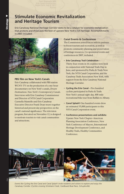### **Stimulate Economic Revitalization and Heritage Tourism**

Erie Canalway National Heritage Corridor seeks to be a catalyst for economic revitalization that protects and showcases the best of upstate New York's rich heritage. Accomplishments in 2007 included:



#### **PBS film on New York's Canals**

Erie Canalway collaborated with PBS station WCNY-TV on the production of a one-hour documentary on New York's canals, *Dream Destinations: New York's Contemporary Canals*. Interviews with Erie Canalway Commissioner and Director of NYS Canal Corporation Carmella Mantello and Erie Canalway Executive Director Frank Dean weave together historical and present day perspectives on the canal's national significance. The television program, first aired on November 12, is designed to motivate tourists to visit canal communities and attractions.

#### **Canal Events & Conferences**

The Commission joined forces with its partners to boost tourism and recreation, as well as promote community planning and preservation of heritage resources. Co-sponsored events and conferences in 2007, included:

- **Erie Canalway Trail Celebration** Thirty-four events in 16 counties were held in conjunction with National Trails Day in June, and sponsored by Parks & Trails New York, the NYS Canal Corporation, and the Canalway Trails Association New York, with support from the Erie Canalway National Heritage Corridor.
- **Cycling the Erie Canal**—Five hundred cyclists participated in Parks & Trails New York's annual eight-day, 400-mile recreational bike tour from Buffalo to Albany.
- **Canal Splash!** One hundred events drew an estimated 35,000 participants to this NYS Canal Corporation event.
- **Conference presentations and exhibits:**  Upstate New York Chapter–American Planning Association Conference, New York Conference of Mayors, International Heritage Development Conference, and Healthy Trails, Healthy Communities Conference.



*Events like Cycling the Erie Canal and Canal Splash! invite residents and visitors to explore and enjoy the*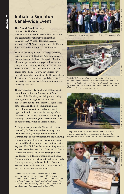## **Initiate a Signature Canal-wide Event**

#### **The Grand Canal Journey of the** *Lois McClure*

New Yorkers and visitors were invited to explore and celebrate the nationally significant Erie Canalway in 2007, as the 1862 replica canal schooner *Lois McClure* voyaged across the Empire State on a 1,000 mile Grand Canal Journey.

The Erie Canalway National Heritage Corridor, in partnership with The New York State Canal Corporation and the Lake Champlain Maritime Museum, sponsored the voyage to showcase the many historic, cultural, natural, and recreational assets of today's canalside communities. In the course of the *Lois McClure's* travels from July through September, more than 30,000 people from 40 states and 10 countries stepped aboard for free tours offered in more than 25 communities in the Canalway Corridor.

The voyage achieved a number of goals detailed in our Preservation and Management Plan. It reinforced the Canalway as a living and working system, promoted regional collaboration, educated the public on the historical significance of the canal, and helped communities market their cultural, recreational, and educational opportunities. Extensive media coverage of the *Lois McClure's* journey appeared in every major newspaper outlet throughout the state, as well as on numerous television and radio stations.

As the primary sponsor, the Commission raised over \$300,000 from state and corporate partners to underwrite voyage expenses and marketing. Our thanks go to our partners and to the following voyage sponsors, whose generous support made the Grand Canal Journey possible: National Grid, KeySpan, New York State Department of Agriculture and Markets-Pride of New York, Cabot and McCadam Cheese, Brookfield Power, and Saratoga Water. In addition, we extend our thanks to Mid-Lakes Navigation Company in Skaneateles for generously donating a two-day cruise on the Erie Canal and Red Mill Inn in Baldwinsville for donating a two-day stay to *Lois McClure* raffle winners.

*Communities responded to the* Lois McClure *with numerous gifts and acts of kindness. The crew was presented with baskets of peaches and cherries in Western New York, ten pounds of garlic in Brockport, and a block of Medina sandstone—cargo reminiscent of what would have been carried on canal boats in the 1800s.*



*The crew educated 30,425 visitors, including 550 school children.* 



*The* Lois McClure *transformed into a traditional canal boat with mast and sails lowered to accommodate the Erie Canal's famous low bridges. Her trusty tug, the Churchill—the modern equivalent of mules or horses that towed canal boats in the 1800s—pulled her from port to port.*



*During the* Lois McClure's *arrival in Medina, the boat was*  towed by mules for the first time, enabling the crew to interpret the experience and pass on this knowledge firsthand.



NPS/© ANDY OLENICK, FOTOWERKS.COM

**NPS/© ANDY OLENICK, FOTOWERKS.COM**